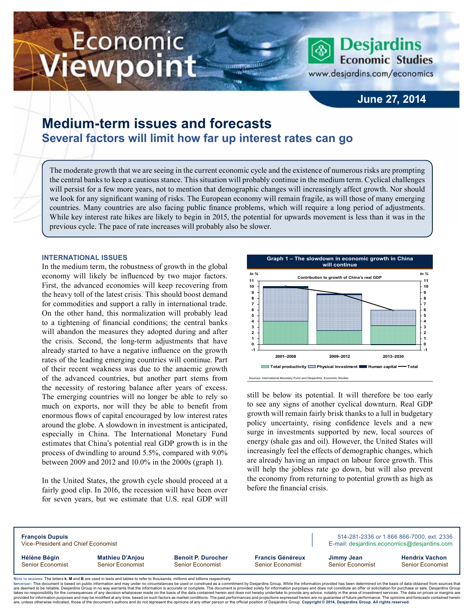# Economic ewpoint



**Desjardins Economic Studies** 

www.desjardins.com/economics

# **Medium-term issues and forecasts Several factors will limit how far up interest rates can go**

The moderate growth that we are seeing in the current economic cycle and the existence of numerous risks are prompting the central banks to keep a cautious stance. This situation will probably continue in the medium term. Cyclical challenges will persist for a few more years, not to mention that demographic changes will increasingly affect growth. Nor should we look for any significant waning of risks. The European economy will remain fragile, as will those of many emerging countries. Many countries are also facing public finance problems, which will require a long period of adjustments. While key interest rate hikes are likely to begin in 2015, the potential for upwards movement is less than it was in the previous cycle. The pace of rate increases will probably also be slower.

#### **International issues**

In the medium term, the robustness of growth in the global economy will likely be influenced by two major factors. First, the advanced economies will keep recovering from the heavy toll of the latest crisis. This should boost demand for commodities and support a rally in international trade. On the other hand, this normalization will probably lead to a tightening of financial conditions; the central banks will abandon the measures they adopted during and after the crisis. Second, the long-term adjustments that have already started to have a negative influence on the growth rates of the leading emerging countries will continue. Part of their recent weakness was due to the anaemic growth of the advanced countries, but another part stems from the necessity of restoring balance after years of excess. The emerging countries will no longer be able to rely so much on exports, nor will they be able to benefit from enormous flows of capital encouraged by low interest rates around the globe. A slowdown in investment is anticipated, especially in China. The International Monetary Fund estimates that China's potential real GDP growth is in the process of dwindling to around 5.5%, compared with 9.0% between 2009 and 2012 and 10.0% in the 2000s (graph 1).

In the United States, the growth cycle should proceed at a fairly good clip. In 2016, the recession will have been over for seven years, but we estimate that U.S. real GDP will



still be below its potential. It will therefore be too early to see any signs of another cyclical downturn. Real GDP growth will remain fairly brisk thanks to a lull in budgetary policy uncertainty, rising confidence levels and a new surge in investments supported by new, local sources of energy (shale gas and oil). However, the United States will increasingly feel the effects of demographic changes, which are already having an impact on labour force growth. This will help the jobless rate go down, but will also prevent the economy from returning to potential growth as high as before the financial crisis.

| <b>François Dupuis</b><br>Vice-President and Chief Economist |                                                                                                                                 |                                                                                                                                                                                                                                                                                                                                                                                                                                                                                                                                                                                                                                                                                                                                                                                                                                                                                                                                      |                                             | 514-281-2336 or 1 866 866-7000, ext. 2336<br>E-mail: desjardins.economics@desjardins.com |                                                  |  |  |
|--------------------------------------------------------------|---------------------------------------------------------------------------------------------------------------------------------|--------------------------------------------------------------------------------------------------------------------------------------------------------------------------------------------------------------------------------------------------------------------------------------------------------------------------------------------------------------------------------------------------------------------------------------------------------------------------------------------------------------------------------------------------------------------------------------------------------------------------------------------------------------------------------------------------------------------------------------------------------------------------------------------------------------------------------------------------------------------------------------------------------------------------------------|---------------------------------------------|------------------------------------------------------------------------------------------|--------------------------------------------------|--|--|
| Hélène Bégin<br>Senior Economist                             | <b>Mathieu D'Anjou</b><br><b>Benoit P. Durocher</b><br>Senior Economist<br>Senior Economist                                     |                                                                                                                                                                                                                                                                                                                                                                                                                                                                                                                                                                                                                                                                                                                                                                                                                                                                                                                                      | <b>Francis Généreux</b><br>Senior Economist | Jimmy Jean<br><b>Senior Economist</b>                                                    | <b>Hendrix Vachon</b><br><b>Senior Economist</b> |  |  |
|                                                              | Note to READERS: The letters k, M and B are used in texts and tables to refer to thousands, millions and billions respectively. | IMPORTANT: This document is based on public information and may under no circumstances be used or construed as a commitment by Desjardins Group. While the information provided has been determined on the basis of data obtai<br>are deemed to be reliable, Desjardins Group in no way warrants that the information is accurate or complete. The document is provided solely for information purposes and does not constitute an offer or solicitation for pur<br>takes no responsibility for the consequences of any decision whatsoever made on the basis of the data contained herein and does not hereby undertake to provide any advice, notably in the area of investment services. The da<br>provided for information purposes and may be modified at any time, based on such factors as market conditions. The past performances and projections expressed herein are no quarantee of future performance. The opinions and |                                             |                                                                                          |                                                  |  |  |

e, unless otherwise indicated, those of the document's authors and do not represent the opinions of any other person or the official position of Desjardins Group. Copyright @ 2014, Desjardins Group. All rights reserved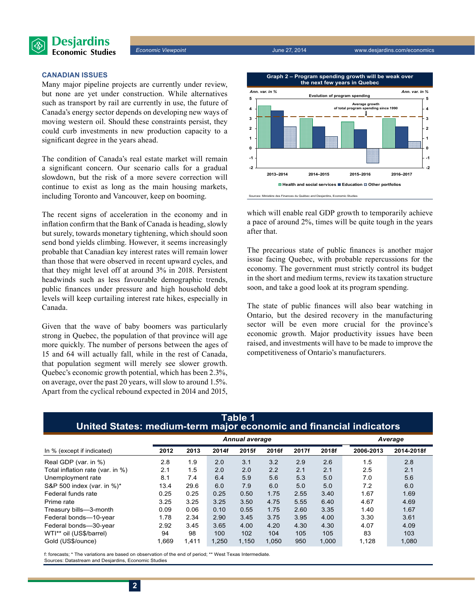

#### **Canadian issues**

Many major pipeline projects are currently under review, but none are yet under construction. While alternatives such as transport by rail are currently in use, the future of Canada's energy sector depends on developing new ways of moving western oil. Should these constraints persist, they could curb investments in new production capacity to a significant degree in the years ahead.

The condition of Canada's real estate market will remain a significant concern. Our scenario calls for a gradual slowdown, but the risk of a more severe correction will continue to exist as long as the main housing markets, including Toronto and Vancouver, keep on booming.

The recent signs of acceleration in the economy and in inflation confirm that the Bank of Canada is heading, slowly but surely, towards monetary tightening, which should soon send bond yields climbing. However, it seems increasingly probable that Canadian key interest rates will remain lower than those that were observed in recent upward cycles, and that they might level off at around 3% in 2018. Persistent headwinds such as less favourable demographic trends, public finances under pressure and high household debt levels will keep curtailing interest rate hikes, especially in Canada.

Given that the wave of baby boomers was particularly strong in Quebec, the population of that province will age more quickly. The number of persons between the ages of 15 and 64 will actually fall, while in the rest of Canada, that population segment will merely see slower growth. Quebec's economic growth potential, which has been 2.3%, on average, over the past 20 years, will slow to around 1.5%. Apart from the cyclical rebound expected in 2014 and 2015,



which will enable real GDP growth to temporarily achieve a pace of around 2%, times will be quite tough in the years after that.

The precarious state of public finances is another major issue facing Quebec, with probable repercussions for the economy. The government must strictly control its budget in the short and medium terms, review its taxation structure soon, and take a good look at its program spending.

The state of public finances will also bear watching in Ontario, but the desired recovery in the manufacturing sector will be even more crucial for the province's economic growth. Major productivity issues have been raised, and investments will have to be made to improve the competitiveness of Ontario's manufacturers.

### **Table 1 United States: medium-term major economic and financial indicators**

|                                  | <b>Annual average</b> |       |       |       |       |       | Average |           |            |
|----------------------------------|-----------------------|-------|-------|-------|-------|-------|---------|-----------|------------|
| In % (except if indicated)       | 2012                  | 2013  | 2014f | 2015f | 2016f | 2017f | 2018f   | 2006-2013 | 2014-2018f |
| Real GDP (var. in %)             | 2.8                   | 1.9   | 2.0   | 3.1   | 3.2   | 2.9   | 2.6     | 1.5       | 2.8        |
| Total inflation rate (var. in %) | 2.1                   | 1.5   | 2.0   | 2.0   | 2.2   | 2.1   | 2.1     | 2.5       | 2.1        |
| Unemployment rate                | 8.1                   | 7.4   | 6.4   | 5.9   | 5.6   | 5.3   | 5.0     | 7.0       | 5.6        |
| S&P 500 index (var. in %)*       | 13.4                  | 29.6  | 6.0   | 7.9   | 6.0   | 5.0   | 5.0     | 7.2       | 6.0        |
| Federal funds rate               | 0.25                  | 0.25  | 0.25  | 0.50  | 1.75  | 2.55  | 3.40    | 1.67      | 1.69       |
| Prime rate                       | 3.25                  | 3.25  | 3.25  | 3.50  | 4.75  | 5.55  | 6.40    | 4.67      | 4.69       |
| Treasury bills-3-month           | 0.09                  | 0.06  | 0.10  | 0.55  | 1.75  | 2.60  | 3.35    | 1.40      | 1.67       |
| Federal bonds-10-year            | 1.78                  | 2.34  | 2.90  | 3.45  | 3.75  | 3.95  | 4.00    | 3.30      | 3.61       |
| Federal bonds-30-year            | 2.92                  | 3.45  | 3.65  | 4.00  | 4.20  | 4.30  | 4.30    | 4.07      | 4.09       |
| WTI** oil (US\$/barrel)          | 94                    | 98    | 100   | 102   | 104   | 105   | 105     | 83        | 103        |
| Gold (US\$/ounce)                | 1.669                 | 1.411 | 1.250 | 1.150 | 1.050 | 950   | 1.000   | 1.128     | 1.080      |

f: forecasts; \* The variations are based on observation of the end of period; \*\* West Texas Intermediate. Sources: Datastream and Desjardins, Economic Studies